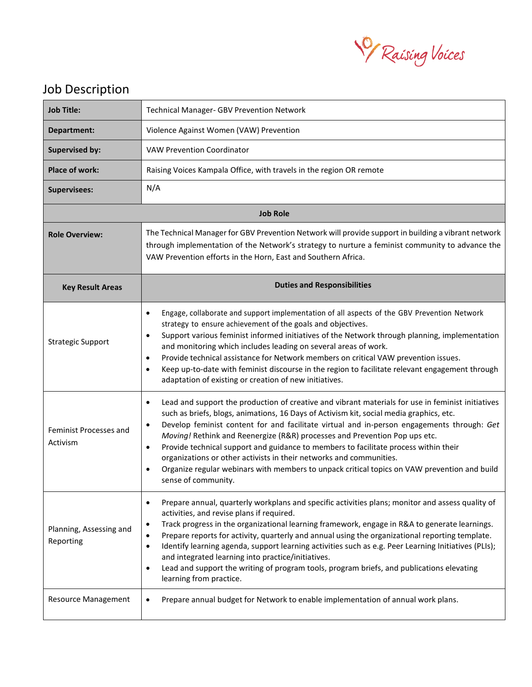

## Job Description

| <b>Job Title:</b>                         | <b>Technical Manager- GBV Prevention Network</b>                                                                                                                                                                                                                                                                                                                                                                                                                                                                                                                                                                                                                                              |  |
|-------------------------------------------|-----------------------------------------------------------------------------------------------------------------------------------------------------------------------------------------------------------------------------------------------------------------------------------------------------------------------------------------------------------------------------------------------------------------------------------------------------------------------------------------------------------------------------------------------------------------------------------------------------------------------------------------------------------------------------------------------|--|
| Department:                               | Violence Against Women (VAW) Prevention                                                                                                                                                                                                                                                                                                                                                                                                                                                                                                                                                                                                                                                       |  |
| <b>Supervised by:</b>                     | <b>VAW Prevention Coordinator</b>                                                                                                                                                                                                                                                                                                                                                                                                                                                                                                                                                                                                                                                             |  |
| <b>Place of work:</b>                     | Raising Voices Kampala Office, with travels in the region OR remote                                                                                                                                                                                                                                                                                                                                                                                                                                                                                                                                                                                                                           |  |
| <b>Supervisees:</b>                       | N/A                                                                                                                                                                                                                                                                                                                                                                                                                                                                                                                                                                                                                                                                                           |  |
| <b>Job Role</b>                           |                                                                                                                                                                                                                                                                                                                                                                                                                                                                                                                                                                                                                                                                                               |  |
| <b>Role Overview:</b>                     | The Technical Manager for GBV Prevention Network will provide support in building a vibrant network<br>through implementation of the Network's strategy to nurture a feminist community to advance the<br>VAW Prevention efforts in the Horn, East and Southern Africa.                                                                                                                                                                                                                                                                                                                                                                                                                       |  |
| <b>Key Result Areas</b>                   | <b>Duties and Responsibilities</b>                                                                                                                                                                                                                                                                                                                                                                                                                                                                                                                                                                                                                                                            |  |
| <b>Strategic Support</b>                  | Engage, collaborate and support implementation of all aspects of the GBV Prevention Network<br>$\bullet$<br>strategy to ensure achievement of the goals and objectives.<br>Support various feminist informed initiatives of the Network through planning, implementation<br>٠<br>and monitoring which includes leading on several areas of work.<br>Provide technical assistance for Network members on critical VAW prevention issues.<br>$\bullet$<br>Keep up-to-date with feminist discourse in the region to facilitate relevant engagement through<br>$\bullet$<br>adaptation of existing or creation of new initiatives.                                                                |  |
| <b>Feminist Processes and</b><br>Activism | Lead and support the production of creative and vibrant materials for use in feminist initiatives<br>$\bullet$<br>such as briefs, blogs, animations, 16 Days of Activism kit, social media graphics, etc.<br>Develop feminist content for and facilitate virtual and in-person engagements through: Get<br>$\bullet$<br>Moving! Rethink and Reenergize (R&R) processes and Prevention Pop ups etc.<br>Provide technical support and guidance to members to facilitate process within their<br>٠<br>organizations or other activists in their networks and communities.<br>Organize regular webinars with members to unpack critical topics on VAW prevention and build<br>sense of community. |  |
| Planning, Assessing and<br>Reporting      | Prepare annual, quarterly workplans and specific activities plans; monitor and assess quality of<br>٠<br>activities, and revise plans if required.<br>Track progress in the organizational learning framework, engage in R&A to generate learnings.<br>٠<br>Prepare reports for activity, quarterly and annual using the organizational reporting template.<br>$\bullet$<br>Identify learning agenda, support learning activities such as e.g. Peer Learning Initiatives (PLIs);<br>٠<br>and integrated learning into practice/initiatives.<br>Lead and support the writing of program tools, program briefs, and publications elevating<br>learning from practice.                           |  |
| <b>Resource Management</b>                | Prepare annual budget for Network to enable implementation of annual work plans.<br>٠                                                                                                                                                                                                                                                                                                                                                                                                                                                                                                                                                                                                         |  |